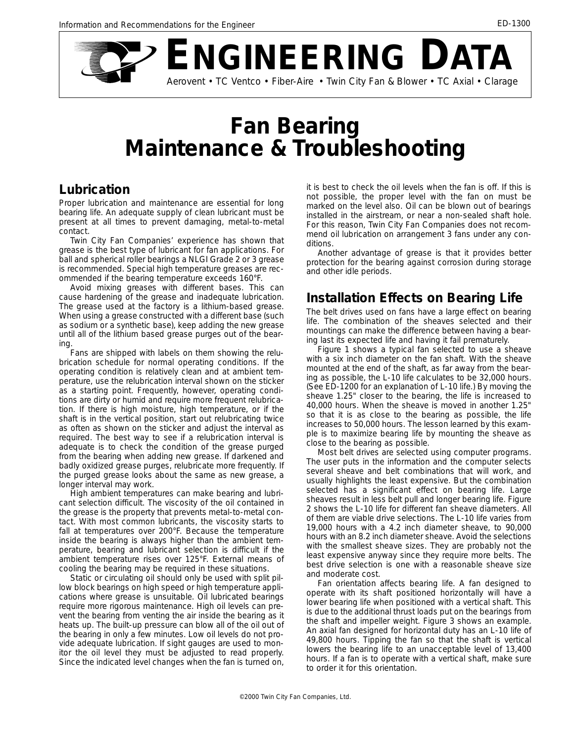

# **Fan Bearing Maintenance & Troubleshooting**

## **Lubrication**

Proper lubrication and maintenance are essential for long bearing life. An adequate supply of clean lubricant must be present at all times to prevent damaging, metal-to-metal contact.

Twin City Fan Companies' experience has shown that grease is the best type of lubricant for fan applications. For ball and spherical roller bearings a NLGI Grade 2 or 3 grease is recommended. Special high temperature greases are recommended if the bearing temperature exceeds 160°F.

Avoid mixing greases with different bases. This can cause hardening of the grease and inadequate lubrication. The grease used at the factory is a lithium-based grease. When using a grease constructed with a different base (such as sodium or a synthetic base), keep adding the new grease until all of the lithium based grease purges out of the bearing.

Fans are shipped with labels on them showing the relubrication schedule for normal operating conditions. If the operating condition is relatively clean and at ambient temperature, use the relubrication interval shown on the sticker as a starting point. Frequently, however, operating conditions are dirty or humid and require more frequent relubrication. If there is high moisture, high temperature, or if the shaft is in the vertical position, start out relubricating twice as often as shown on the sticker and adjust the interval as required. The best way to see if a relubrication interval is adequate is to check the condition of the grease purged from the bearing when adding new grease. If darkened and badly oxidized grease purges, relubricate more frequently. If the purged grease looks about the same as new grease, a longer interval may work.

High ambient temperatures can make bearing and lubricant selection difficult. The viscosity of the oil contained in the grease is the property that prevents metal-to-metal contact. With most common lubricants, the viscosity starts to fall at temperatures over 200°F. Because the temperature inside the bearing is always higher than the ambient temperature, bearing and lubricant selection is difficult if the ambient temperature rises over 125°F. External means of cooling the bearing may be required in these situations.

Static or circulating oil should only be used with split pillow block bearings on high speed or high temperature applications where grease is unsuitable. Oil lubricated bearings require more rigorous maintenance. High oil levels can prevent the bearing from venting the air inside the bearing as it heats up. The built-up pressure can blow all of the oil out of the bearing in only a few minutes. Low oil levels do not provide adequate lubrication. If sight gauges are used to monitor the oil level they must be adjusted to read properly. Since the indicated level changes when the fan is turned on, it is best to check the oil levels when the fan is off. If this is not possible, the proper level with the fan on must be marked on the level also. Oil can be blown out of bearings installed in the airstream, or near a non-sealed shaft hole. For this reason, Twin City Fan Companies does not recommend oil lubrication on arrangement 3 fans under any conditions.

Another advantage of grease is that it provides better protection for the bearing against corrosion during storage and other idle periods.

## **Installation Effects on Bearing Life**

The belt drives used on fans have a large effect on bearing life. The combination of the sheaves selected and their mountings can make the difference between having a bearing last its expected life and having it fail prematurely.

Figure 1 shows a typical fan selected to use a sheave with a six inch diameter on the fan shaft. With the sheave mounted at the end of the shaft, as far away from the bearing as possible, the L-10 life calculates to be 32,000 hours. (See ED-1200 for an explanation of L-10 life.) By moving the sheave 1.25" closer to the bearing, the life is increased to 40,000 hours. When the sheave is moved in another 1.25" so that it is as close to the bearing as possible, the life increases to 50,000 hours. The lesson learned by this example is to maximize bearing life by mounting the sheave as close to the bearing as possible.

Most belt drives are selected using computer programs. The user puts in the information and the computer selects several sheave and belt combinations that will work, and usually highlights the least expensive. But the combination selected has a significant effect on bearing life. Large sheaves result in less belt pull and longer bearing life. Figure 2 shows the L-10 life for different fan sheave diameters. All of them are viable drive selections. The L-10 life varies from 19,000 hours with a 4.2 inch diameter sheave, to 90,000 hours with an 8.2 inch diameter sheave. Avoid the selections with the smallest sheave sizes. They are probably not the least expensive anyway since they require more belts. The best drive selection is one with a reasonable sheave size and moderate cost.

Fan orientation affects bearing life. A fan designed to operate with its shaft positioned horizontally will have a lower bearing life when positioned with a vertical shaft. This is due to the additional thrust loads put on the bearings from the shaft and impeller weight. Figure 3 shows an example. An axial fan designed for horizontal duty has an L-10 life of 49,800 hours. Tipping the fan so that the shaft is vertical lowers the bearing life to an unacceptable level of 13,400 hours. If a fan is to operate with a vertical shaft, make sure to order it for this orientation.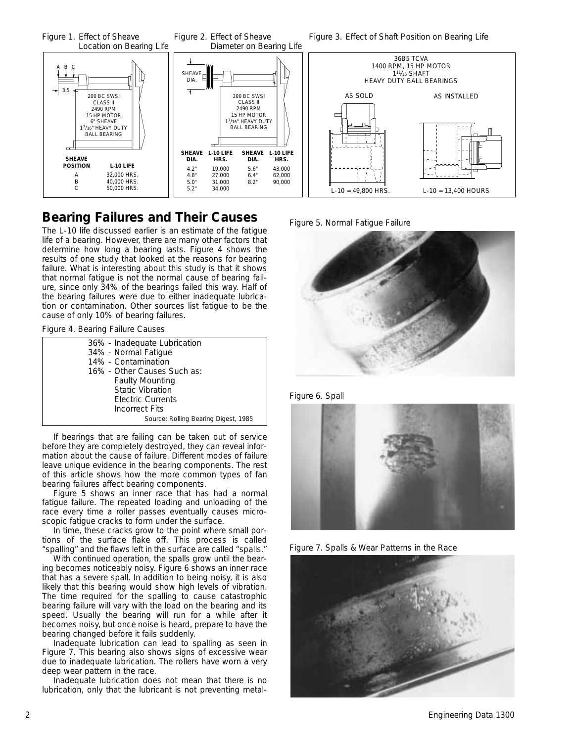

### **Bearing Failures and Their Causes**

The L-10 life discussed earlier is an estimate of the fatigue life of a bearing. However, there are many other factors that determine how long a bearing lasts. Figure 4 shows the results of one study that looked at the reasons for bearing failure. What is interesting about this study is that it shows that normal fatigue is not the normal cause of bearing failure, since only 34% of the bearings failed this way. Half of the bearing failures were due to either inadequate lubrication or contamination. Other sources list fatigue to be the cause of only 10% of bearing failures.

*Figure 4. Bearing Failure Causes*

| 36% - Inadequate Lubrication<br>34% - Normal Fatigue |
|------------------------------------------------------|
| 14% - Contamination                                  |
| 16% - Other Causes Such as:                          |
| <b>Faulty Mounting</b>                               |
| <b>Static Vibration</b>                              |
| <b>Electric Currents</b>                             |
| Incorrect Fits                                       |
| Source: Rolling Bearing Digest, 1985                 |

If bearings that are failing can be taken out of service before they are completely destroyed, they can reveal information about the cause of failure. Different modes of failure leave unique evidence in the bearing components. The rest of this article shows how the more common types of fan bearing failures affect bearing components.

Figure 5 shows an inner race that has had a normal fatigue failure. The repeated loading and unloading of the race every time a roller passes eventually causes microscopic fatigue cracks to form under the surface.

In time, these cracks grow to the point where small portions of the surface flake off. This process is called "spalling" and the flaws left in the surface are called "spalls."

With continued operation, the spalls grow until the bearing becomes noticeably noisy. Figure 6 shows an inner race that has a severe spall. In addition to being noisy, it is also likely that this bearing would show high levels of vibration. The time required for the spalling to cause catastrophic bearing failure will vary with the load on the bearing and its speed. Usually the bearing will run for a while after it becomes noisy, but once noise is heard, prepare to have the bearing changed before it fails suddenly.

Inadequate lubrication can lead to spalling as seen in Figure 7. This bearing also shows signs of excessive wear due to inadequate lubrication. The rollers have worn a very deep wear pattern in the race.

Inadequate lubrication does not mean that there is no lubrication, only that the lubricant is not preventing metal-

*Figure 5. Normal Fatigue Failure*



*Figure 6. Spall*



*Figure 7. Spalls & Wear Patterns in the Race*

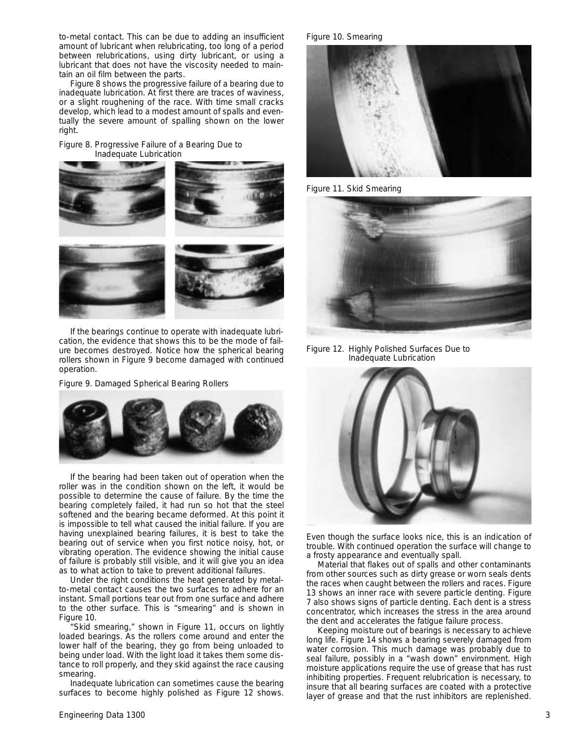to-metal contact. This can be due to adding an insufficient amount of lubricant when relubricating, too long of a period between relubrications, using dirty lubricant, or using a lubricant that does not have the viscosity needed to maintain an oil film between the parts.

Figure 8 shows the progressive failure of a bearing due to inadequate lubrication. At first there are traces of waviness, or a slight roughening of the race. With time small cracks develop, which lead to a modest amount of spalls and eventually the severe amount of spalling shown on the lower right.

*Figure 8. Progressive Failure of a Bearing Due to Inadequate Lubrication*



If the bearings continue to operate with inadequate lubrication, the evidence that shows this to be the mode of failure becomes destroyed. Notice how the spherical bearing rollers shown in Figure 9 become damaged with continued operation.

*Figure 9. Damaged Spherical Bearing Rollers*



If the bearing had been taken out of operation when the roller was in the condition shown on the left, it would be possible to determine the cause of failure. By the time the bearing completely failed, it had run so hot that the steel softened and the bearing became deformed. At this point it is impossible to tell what caused the initial failure. If you are having unexplained bearing failures, it is best to take the bearing out of service when you first notice noisy, hot, or vibrating operation. The evidence showing the initial cause of failure is probably still visible, and it will give you an idea as to what action to take to prevent additional failures.

Under the right conditions the heat generated by metalto-metal contact causes the two surfaces to adhere for an instant. Small portions tear out from one surface and adhere to the other surface. This is "smearing" and is shown in Figure 10.

"Skid smearing," shown in Figure 11, occurs on lightly loaded bearings. As the rollers come around and enter the lower half of the bearing, they go from being unloaded to being under load. With the light load it takes them some distance to roll properly, and they skid against the race causing smearing.

Inadequate lubrication can sometimes cause the bearing surfaces to become highly polished as Figure 12 shows.

*Figure 10. Smearing*



*Figure 11. Skid Smearing*



*Figure 12. Highly Polished Surfaces Due to Inadequate Lubrication*



Even though the surface looks nice, this is an indication of trouble. With continued operation the surface will change to a frosty appearance and eventually spall.

Material that flakes out of spalls and other contaminants from other sources such as dirty grease or worn seals dents the races when caught between the rollers and races. Figure 13 shows an inner race with severe particle denting. Figure 7 also shows signs of particle denting. Each dent is a stress concentrator, which increases the stress in the area around the dent and accelerates the fatigue failure process.

Keeping moisture out of bearings is necessary to achieve long life. Figure 14 shows a bearing severely damaged from water corrosion. This much damage was probably due to seal failure, possibly in a "wash down" environment. High moisture applications require the use of grease that has rust inhibiting properties. Frequent relubrication is necessary, to insure that all bearing surfaces are coated with a protective layer of grease and that the rust inhibitors are replenished.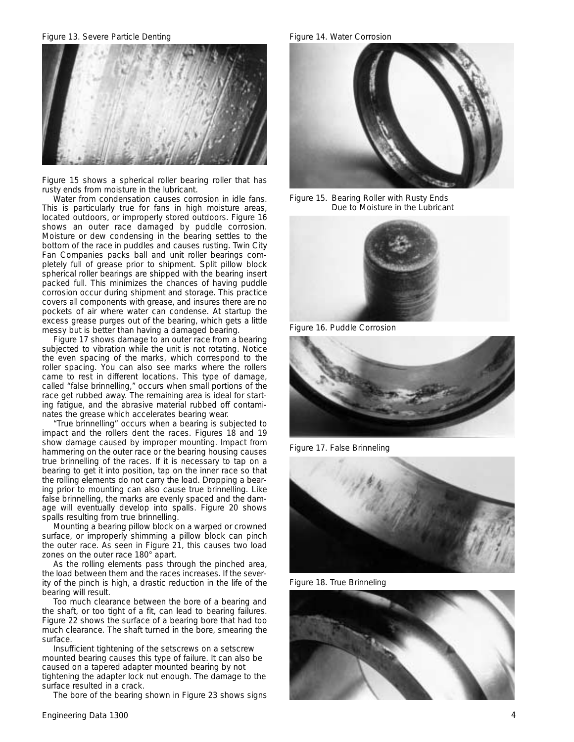*Figure 13. Severe Particle Denting Figure 14. Water Corrosion*



Figure 15 shows a spherical roller bearing roller that has rusty ends from moisture in the lubricant.

Water from condensation causes corrosion in idle fans. This is particularly true for fans in high moisture areas, located outdoors, or improperly stored outdoors. Figure 16 shows an outer race damaged by puddle corrosion. Moisture or dew condensing in the bearing settles to the bottom of the race in puddles and causes rusting. Twin City Fan Companies packs ball and unit roller bearings completely full of grease prior to shipment. Split pillow block spherical roller bearings are shipped with the bearing insert packed full. This minimizes the chances of having puddle corrosion occur during shipment and storage. This practice covers all components with grease, and insures there are no pockets of air where water can condense. At startup the excess grease purges out of the bearing, which gets a little messy but is better than having a damaged bearing.

Figure 17 shows damage to an outer race from a bearing subjected to vibration while the unit is not rotating. Notice the even spacing of the marks, which correspond to the roller spacing. You can also see marks where the rollers came to rest in different locations. This type of damage, called "false brinnelling," occurs when small portions of the race get rubbed away. The remaining area is ideal for starting fatigue, and the abrasive material rubbed off contaminates the grease which accelerates bearing wear.

"True brinnelling" occurs when a bearing is subjected to impact and the rollers dent the races. Figures 18 and 19 show damage caused by improper mounting. Impact from hammering on the outer race or the bearing housing causes true brinnelling of the races. If it is necessary to tap on a bearing to get it into position, tap on the inner race so that the rolling elements do not carry the load. Dropping a bearing prior to mounting can also cause true brinnelling. Like false brinnelling, the marks are evenly spaced and the damage will eventually develop into spalls. Figure 20 shows spalls resulting from true brinnelling.

Mounting a bearing pillow block on a warped or crowned surface, or improperly shimming a pillow block can pinch the outer race. As seen in Figure 21, this causes two load zones on the outer race 180° apart.

As the rolling elements pass through the pinched area, the load between them and the races increases. If the severity of the pinch is high, a drastic reduction in the life of the bearing will result.

Too much clearance between the bore of a bearing and the shaft, or too tight of a fit, can lead to bearing failures. Figure 22 shows the surface of a bearing bore that had too much clearance. The shaft turned in the bore, smearing the surface.

Insufficient tightening of the setscrews on a setscrew mounted bearing causes this type of failure. It can also be caused on a tapered adapter mounted bearing by not tightening the adapter lock nut enough. The damage to the surface resulted in a crack.

The bore of the bearing shown in Figure 23 shows signs



*Figure 15. Bearing Roller with Rusty Ends Due to Moisture in the Lubricant*



*Figure 16. Puddle Corrosion*



*Figure 17. False Brinneling*



*Figure 18. True Brinneling*

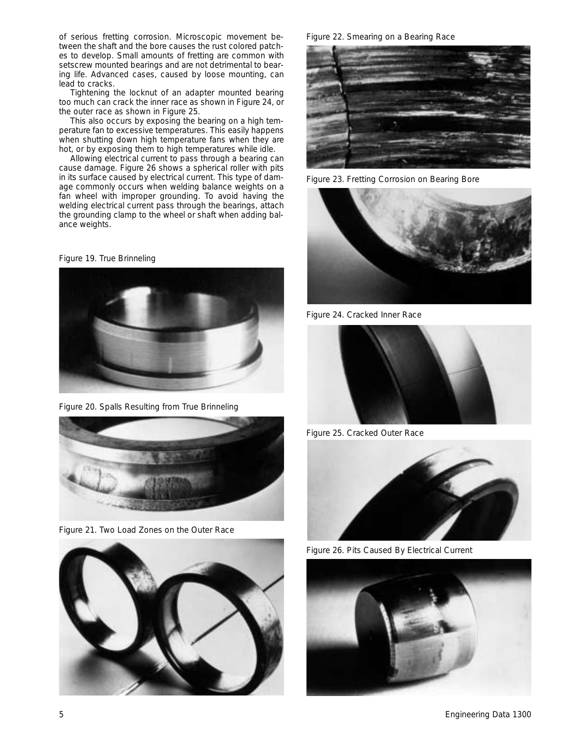of serious fretting corrosion. Microscopic movement between the shaft and the bore causes the rust colored patches to develop. Small amounts of fretting are common with setscrew mounted bearings and are not detrimental to bearing life. Advanced cases, caused by loose mounting, can lead to cracks.

Tightening the locknut of an adapter mounted bearing too much can crack the inner race as shown in Figure 24, or the outer race as shown in Figure 25.

This also occurs by exposing the bearing on a high temperature fan to excessive temperatures. This easily happens when shutting down high temperature fans when they are hot, or by exposing them to high temperatures while idle.

Allowing electrical current to pass through a bearing can cause damage. Figure 26 shows a spherical roller with pits in its surface caused by electrical current. This type of damage commonly occurs when welding balance weights on a fan wheel with improper grounding. To avoid having the welding electrical current pass through the bearings, attach the grounding clamp to the wheel or shaft when adding balance weights.

*Figure 19. True Brinneling*



*Figure 20. Spalls Resulting from True Brinneling*



*Figure 21. Two Load Zones on the Outer Race*



*Figure 22. Smearing on a Bearing Race*



*Figure 23. Fretting Corrosion on Bearing Bore*



*Figure 24. Cracked Inner Race*



*Figure 25. Cracked Outer Race*



*Figure 26. Pits Caused By Electrical Current*